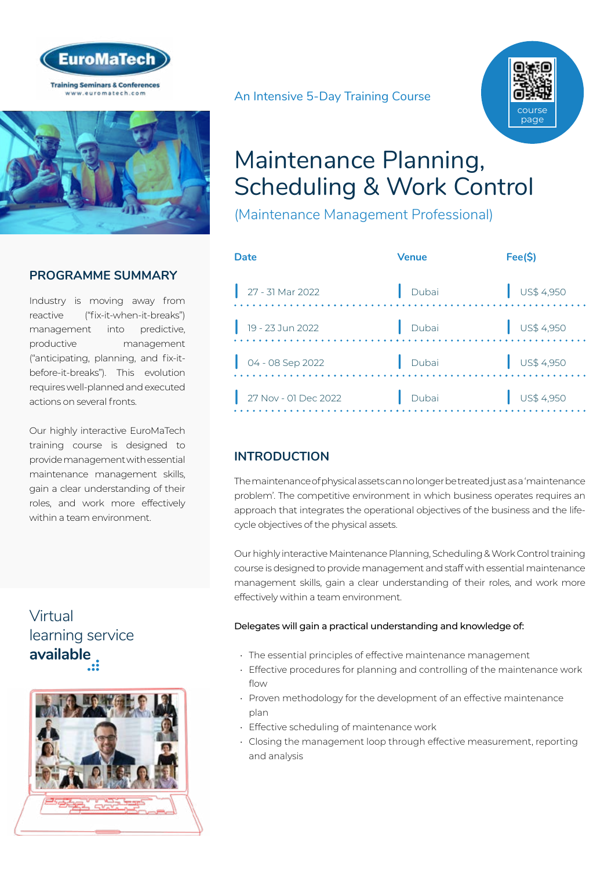



## **PROGRAMME SUMMARY**

Industry is moving away from reactive ("fix-it-when-it-breaks") management into predictive, productive management ("anticipating, planning, and fix-itbefore-it-breaks"). This evolution requires well-planned and executed actions on several fronts.

Our highly interactive EuroMaTech training course is designed to provide management with essential maintenance management skills, gain a clear understanding of their roles, and work more effectively within a team environment.

## Virtual [learning service](http://www.euromatech.com/seminars/maintenance-planning-scheduling-work-control/)  **available**



#### An Intensive 5-Day Training Course



# Maintenance Planning, Scheduling & Work Control

(Maintenance Management Professional)

| <b>Venue</b> | Fee(S)               |
|--------------|----------------------|
| Dubai        | $\bigcup$ US\$ 4,950 |
| Dubai        | $\bigcup$ US\$ 4,950 |
| Dubai        | $\bigcup$ US\$ 4,950 |
| Dubai        | $\bigcup$ US\$ 4,950 |
|              |                      |

## **INTRODUCTION**

The maintenance of physical assets can no longer be treated just as a 'maintenance problem'. The competitive environment in which business operates requires an approach that integrates the operational objectives of the business and the lifecycle objectives of the physical assets.

Our highly interactive Maintenance Planning, Scheduling & Work Control training course is designed to provide management and staff with essential maintenance management skills, gain a clear understanding of their roles, and work more effectively within a team environment.

#### Delegates will gain a practical understanding and knowledge of:

- The essential principles of effective maintenance management
- Effective procedures for planning and controlling of the maintenance work flow
- Proven methodology for the development of an effective maintenance plan
- Effective scheduling of maintenance work
- Closing the management loop through effective measurement, reporting and analysis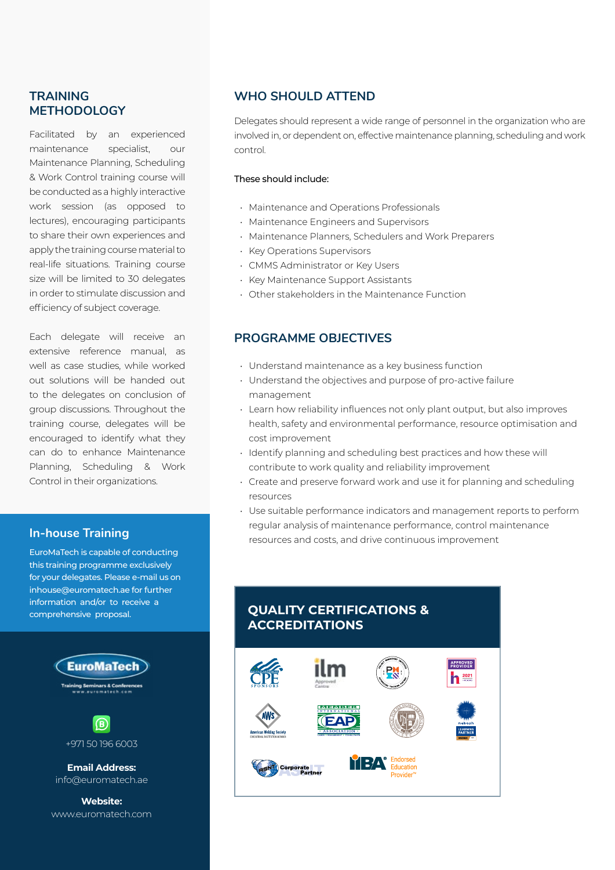#### **TRAINING METHODOLOGY**

Facilitated by an experienced maintenance specialist, our Maintenance Planning, Scheduling & Work Control training course will be conducted as a highly interactive work session (as opposed to lectures), encouraging participants to share their own experiences and apply the training course material to real-life situations. Training course size will be limited to 30 delegates in order to stimulate discussion and efficiency of subject coverage.

Each delegate will receive an extensive reference manual, as well as case studies, while worked out solutions will be handed out to the delegates on conclusion of group discussions. Throughout the training course, delegates will be encouraged to identify what they can do to enhance Maintenance Planning, Scheduling & Work Control in their organizations.

#### **In-house Training**

EuroMaTech is capable of conducting this training programme exclusively for your delegates. Please e-mail us on inhouse@euromatech.ae for further information and/or to receive a comprehensive proposal.



### **WHO SHOULD ATTEND**

Delegates should represent a wide range of personnel in the organization who are involved in, or dependent on, effective maintenance planning, scheduling and work control.

#### These should include:

- Maintenance and Operations Professionals
- Maintenance Engineers and Supervisors
- Maintenance Planners, Schedulers and Work Preparers
- Key Operations Supervisors
- CMMS Administrator or Key Users
- Key Maintenance Support Assistants
- Other stakeholders in the Maintenance Function

### **PROGRAMME OBJECTIVES**

- Understand maintenance as a key business function
- Understand the objectives and purpose of pro-active failure management
- Learn how reliability influences not only plant output, but also improves health, safety and environmental performance, resource optimisation and cost improvement
- Identify planning and scheduling best practices and how these will contribute to work quality and reliability improvement
- Create and preserve forward work and use it for planning and scheduling resources
- Use suitable performance indicators and management reports to perform regular analysis of maintenance performance, control maintenance resources and costs, and drive continuous improvement

## **QUALITY CERTIFICATIONS & ACCREDITATIONS**

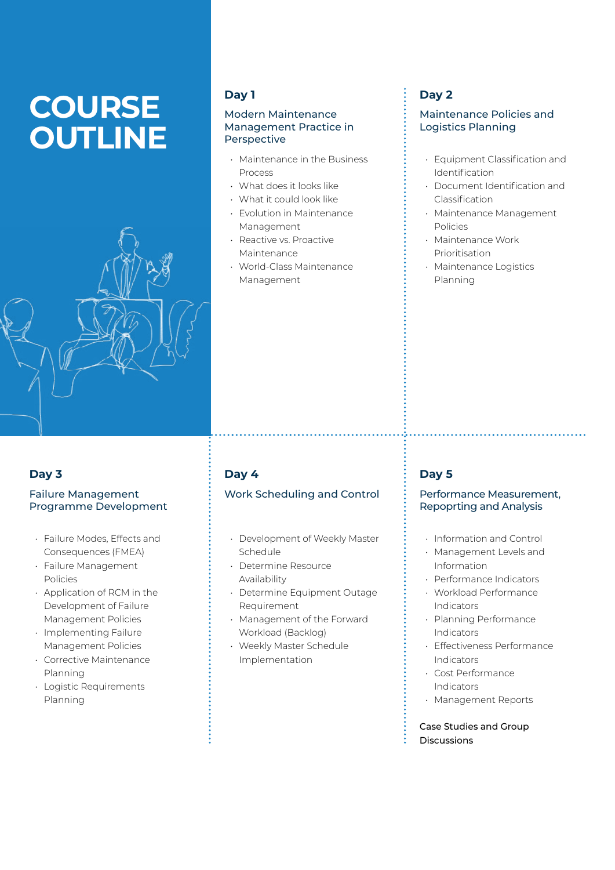# **COURSE OUTLINE**



## **Day 1**

#### Modern Maintenance Management Practice in Perspective

- Maintenance in the Business Process
- What does it looks like
- What it could look like
- Evolution in Maintenance Management
- Reactive vs. Proactive Maintenance
- World-Class Maintenance Management

## **Day 2**

#### Maintenance Policies and Logistics Planning

- Equipment Classification and Identification
- Document Identification and Classification
- Maintenance Management Policies
- Maintenance Work Prioritisation
- Maintenance Logistics Planning

## **Day 3**

#### Failure Management Programme Development

- Failure Modes, Effects and Consequences (FMEA)
- Failure Management Policies
- Application of RCM in the Development of Failure Management Policies
- Implementing Failure Management Policies
- Corrective Maintenance Planning
- Logistic Requirements Planning

## **Day 4**

#### Work Scheduling and Control

- Development of Weekly Master Schedule
- Determine Resource Availability
- Determine Equipment Outage Requirement
- Management of the Forward Workload (Backlog)
- Weekly Master Schedule Implementation

## **Day 5**

#### Performance Measurement, Repoprting and Analysis

- Information and Control
- Management Levels and Information
- Performance Indicators
- Workload Performance
- Indicators • Planning Performance Indicators
- Effectiveness Performance Indicators
- Cost Performance Indicators
- Management Reports
- Case Studies and Group Discussions